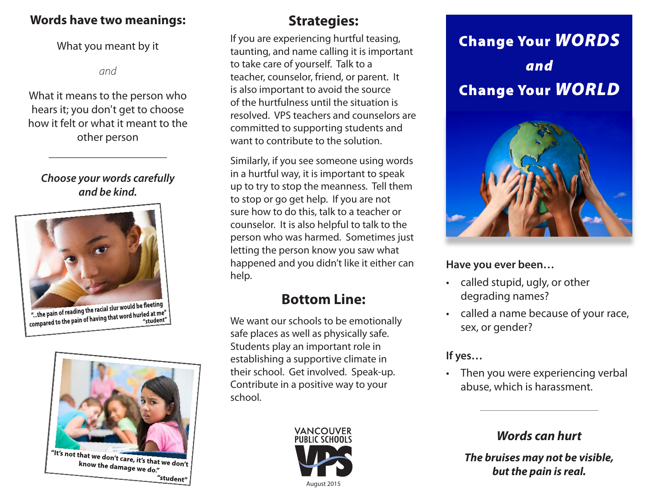#### **Words have two meanings:**

#### What you meant by it

*and*

What it means to the person who hears it; you don't get to choose how it felt or what it meant to the other person

#### *Choose your words carefully and be kind.*



"...the pain of reading the racial slur would be new...<br>compared to the pain of having that word hurled at me"



## **Strategies:**

If you are experiencing hurtful teasing, taunting, and name calling it is important to take care of yourself. Talk to a teacher, counselor, friend, or parent. It is also important to avoid the source of the hurtfulness until the situation is resolved. VPS teachers and counselors are committed to supporting students and want to contribute to the solution.

Similarly, if you see someone using words in a hurtful way, it is important to speak up to try to stop the meanness. Tell them to stop or go get help. If you are not sure how to do this, talk to a teacher or counselor. It is also helpful to talk to the person who was harmed. Sometimes just letting the person know you saw what happened and you didn't like it either can help.

# **Bottom Line:**

We want our schools to be emotionally safe places as well as physically safe. Students play an important role in establishing a supportive climate in their school. Get involved. Speak-up. Contribute in a positive way to your school.



# **Change Your WORDS** and **Change Your WORLD**



#### **Have you ever been…**

- called stupid, ugly, or other degrading names?
- called a name because of your race, sex, or gender?

#### **If yes…**

• Then you were experiencing verbal abuse, which is harassment.

### *Words can hurt*

*The bruises may not be visible, but the pain is real.*